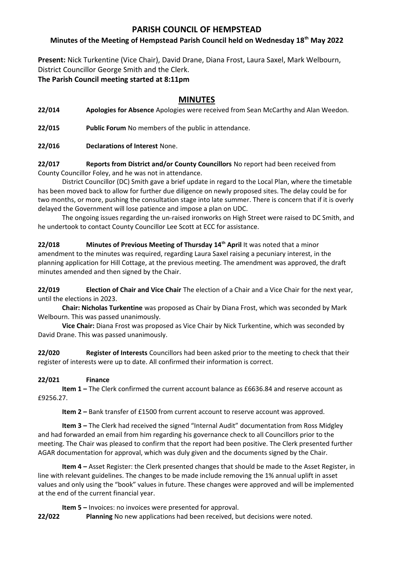## **PARISH COUNCIL OF HEMPSTEAD**

### **Minutes of the Meeting of Hempstead Parish Council held on Wednesday 18th May 2022**

**Present:** Nick Turkentine (Vice Chair), David Drane, Diana Frost, Laura Saxel, Mark Welbourn, District Councillor George Smith and the Clerk.

**The Parish Council meeting started at 8:11pm**

# **MINUTES**

**22/014 Apologies for Absence** Apologies were received from Sean McCarthy and Alan Weedon.

**22/015 Public Forum** No members of the public in attendance.

**22/016 Declarations of Interest** None.

**22/017 Reports from District and/or County Councillors** No report had been received from County Councillor Foley, and he was not in attendance.

District Councillor (DC) Smith gave a brief update in regard to the Local Plan, where the timetable has been moved back to allow for further due diligence on newly proposed sites. The delay could be for two months, or more, pushing the consultation stage into late summer. There is concern that if it is overly delayed the Government will lose patience and impose a plan on UDC.

The ongoing issues regarding the un-raised ironworks on High Street were raised to DC Smith, and he undertook to contact County Councillor Lee Scott at ECC for assistance.

**22/018 Minutes of Previous Meeting of Thursday 14th April** It was noted that a minor amendment to the minutes was required, regarding Laura Saxel raising a pecuniary interest, in the planning application for Hill Cottage, at the previous meeting. The amendment was approved, the draft minutes amended and then signed by the Chair.

**22/019 Election of Chair and Vice Chair** The election of a Chair and a Vice Chair for the next year, until the elections in 2023.

**Chair: Nicholas Turkentine** was proposed as Chair by Diana Frost, which was seconded by Mark Welbourn. This was passed unanimously.

**Vice Chair:** Diana Frost was proposed as Vice Chair by Nick Turkentine, which was seconded by David Drane. This was passed unanimously.

**22/020 Register of Interests** Councillors had been asked prior to the meeting to check that their register of interests were up to date. All confirmed their information is correct.

#### **22/021 Finance**

**Item 1 –** The Clerk confirmed the current account balance as £6636.84 and reserve account as £9256.27.

**Item 2** – Bank transfer of £1500 from current account to reserve account was approved.

**Item 3 –** The Clerk had received the signed "Internal Audit" documentation from Ross Midgley and had forwarded an email from him regarding his governance check to all Councillors prior to the meeting. The Chair was pleased to confirm that the report had been positive. The Clerk presented further AGAR documentation for approval, which was duly given and the documents signed by the Chair.

**Item 4 –** Asset Register: the Clerk presented changes that should be made to the Asset Register, in line with relevant guidelines. The changes to be made include removing the 1% annual uplift in asset values and only using the "book" values in future. These changes were approved and will be implemented at the end of the current financial year.

**Item 5 –** Invoices: no invoices were presented for approval.

**22/022 Planning** No new applications had been received, but decisions were noted.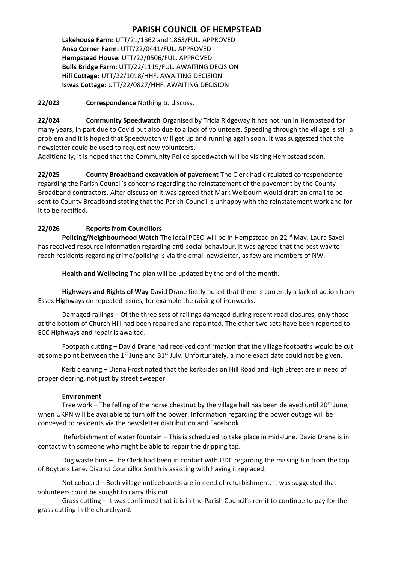### **PARISH COUNCIL OF HEMPSTEAD**

**Lakehouse Farm:** UTT/21/1862 and 1863/FUL. APPROVED **Anso Corner Farm:** UTT/22/0441/FUL. APPROVED **Hempstead House:** UTT/22/0506/FUL. APPROVED **Bulls Bridge Farm:** UTT/22/1119/FUL. AWAITING DECISION **Hill Cottage:** UTT/22/1018/HHF. AWAITING DECISION **Iswas Cottage:** UTT/22/0827/HHF. AWAITING DECISION

**22/023 Correspondence** Nothing to discuss.

**22/024 Community Speedwatch** Organised by Tricia Ridgeway it has not run in Hempstead for many years, in part due to Covid but also due to a lack of volunteers. Speeding through the village is still a problem and it is hoped that Speedwatch will get up and running again soon. It was suggested that the newsletter could be used to request new volunteers.

Additionally, it is hoped that the Community Police speedwatch will be visiting Hempstead soon.

**22/025 County Broadband excavation of pavement** The Clerk had circulated correspondence regarding the Parish Council's concerns regarding the reinstatement of the pavement by the County Broadband contractors. After discussion it was agreed that Mark Welbourn would draft an email to be sent to County Broadband stating that the Parish Council is unhappy with the reinstatement work and for it to be rectified.

#### **22/026 Reports from Councillors**

Policing/Neighbourhood Watch The local PCSO will be in Hempstead on 22<sup>nd</sup> May. Laura Saxel has received resource information regarding anti-social behaviour. It was agreed that the best way to reach residents regarding crime/policing is via the email newsletter, as few are members of NW.

**Health and Wellbeing** The plan will be updated by the end of the month.

**Highways and Rights of Way** David Drane firstly noted that there is currently a lack of action from Essex Highways on repeated issues, for example the raising of ironworks.

Damaged railings – Of the three sets of railings damaged during recent road closures, only those at the bottom of Church Hill had been repaired and repainted. The other two sets have been reported to ECC Highways and repair is awaited.

Footpath cutting – David Drane had received confirmation that the village footpaths would be cut at some point between the  $1<sup>st</sup>$  June and  $31<sup>st</sup>$  July. Unfortunately, a more exact date could not be given.

Kerb cleaning – Diana Frost noted that the kerbsides on Hill Road and High Street are in need of proper clearing, not just by street sweeper.

#### **Environment**

Tree work – The felling of the horse chestnut by the village hall has been delayed until 20<sup>th</sup> June, when UKPN will be available to turn off the power. Information regarding the power outage will be conveyed to residents via the newsletter distribution and Facebook.

 Refurbishment of water fountain – This is scheduled to take place in mid-June. David Drane is in contact with someone who might be able to repair the dripping tap.

Dog waste bins – The Clerk had been in contact with UDC regarding the missing bin from the top of Boytons Lane. District Councillor Smith is assisting with having it replaced.

Noticeboard – Both village noticeboards are in need of refurbishment. It was suggested that volunteers could be sought to carry this out.

Grass cutting – It was confirmed that it is in the Parish Council's remit to continue to pay for the grass cutting in the churchyard.